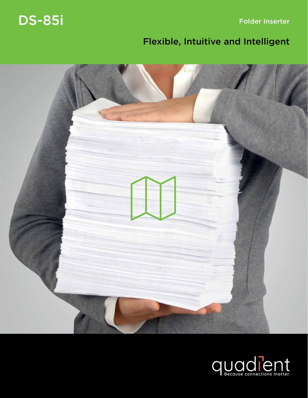Folder Inserter

# DS-85i

# Flexible, Intuitive and Intelligent



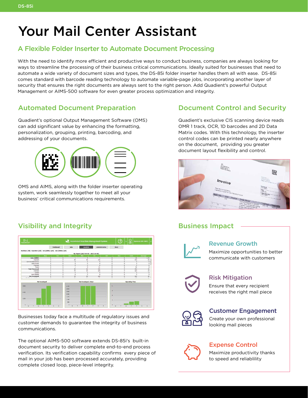# Your Mail Center Assistant

# A Flexible Folder Inserter to Automate Document Processing

With the need to identify more efficient and productive ways to conduct business, companies are always looking for ways to streamline the processing of their business critical communications. Ideally suited for businesses that need to automate a wide variety of document sizes and types, the DS-85i folder inserter handles them all with ease. DS-85i comes standard with barcode reading technology to automate variable-page jobs, incorporating another layer of security that ensures the right documents are always sent to the right person. Add Quadient's powerful Output Management or AIMS-500 software for even greater process optimization and integrity.

# Automated Document Preparation

Quadient's optional Output Management Software (OMS) can add significant value by enhancing the formatting, personalization, grouping, printing, barcoding, and addressing of your documents.



OMS and AIMS, along with the folder inserter operating system, work seamlessly together to meet all your business' critical communications requirements.

# Visibility and Integrity



Businesses today face a multitude of regulatory issues and customer demands to guarantee the integrity of business communications.

The optional AIMS-500 software extends DS-85i's built-in document security to deliver complete end-to-end process verification. Its verification capability confirms every piece of mail in your job has been processed accurately, providing complete closed loop, piece-level integrity.

# Document Control and Security

Quadient's exclusive CIS scanning device reads OMR 1 track, OCR, 1D barcodes and 2D Data Matrix codes. With this technology, the inserter control codes can be printed nearly anywhere on the document, providing you greater document layout flexibility and control.



# Business Impact



#### Revenue Growth

Maximize opportunities to better communicate with customers



### Risk Mitigation

Ensure that every recipient receives the right mail piece



#### Customer Engagement

Create your own professional looking mail pieces



# Expense Control

Maximize productivity thanks to speed and reliablility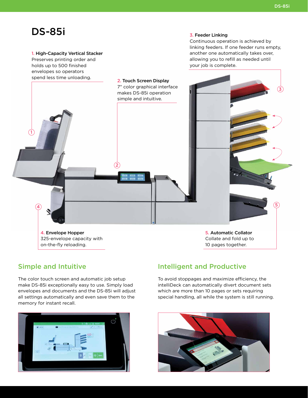3

5

# DS-85i

1

4

#### 1. High-Capacity Vertical Stacker

Preserves printing order and holds up to 500 finished envelopes so operators spend less time unloading.

#### 3. Feeder Linking

2. Touch Screen Display 7" color graphical interface makes DS-85i operation simple and intuitive.

2

Continuous operation is achieved by linking feeders. If one feeder runs empty, another one automatically takes over, allowing you to refill as needed until your job is complete.

4. Envelope Hopper 325-envelope capacity with on-the-fly reloading.

5. Automatic Collator Collate and fold up to 10 pages together.

# Simple and Intuitive

The color touch screen and automatic job setup make DS-85i exceptionally easy to use. Simply load envelopes and documents and the DS-85i will adjust all settings automatically and even save them to the memory for instant recall.



# Intelligent and Productive

To avoid stoppages and maximize efficiency, the intelliDeck can automatically divert document sets which are more than 10 pages or sets requiring special handling, all while the system is still running.